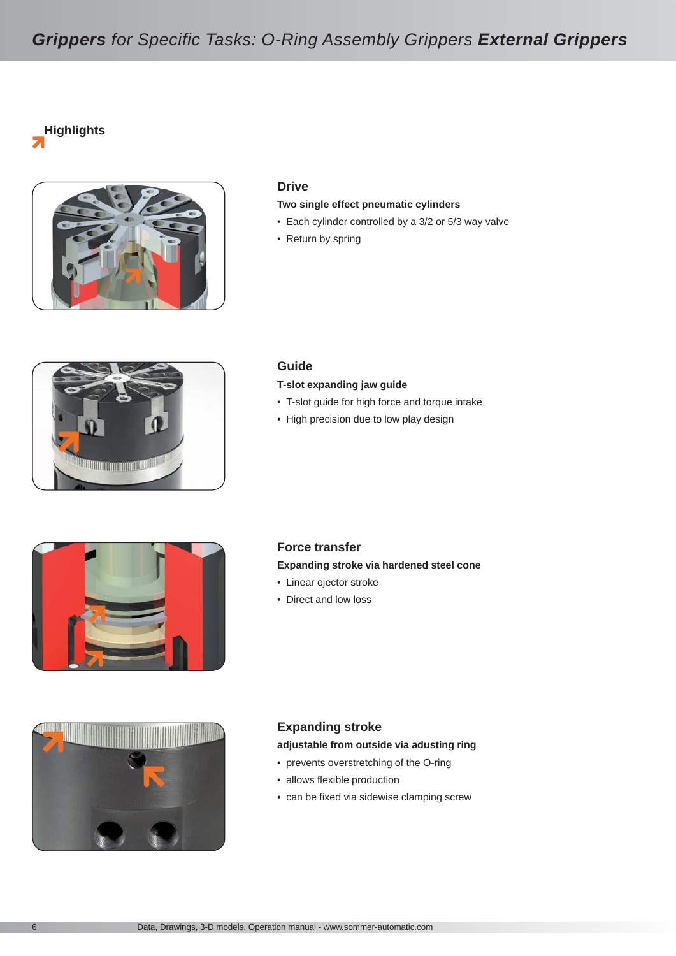## *Grippers for Specific Tasks: O-Ring Assembly Grippers External Grippers*

**Highlights** 7



### **Drive**

#### **Two single effect pneumatic cylinders**

- Each cylinder controlled by a 3/2 or 5/3 way valve
- Return by spring



#### **Guide**

#### **T-slot expanding jaw guide**

- T-slot guide for high force and torque intake
- High precision due to low play design





## **Force transfer Expanding stroke via hardened steel cone**

- Linear ejector stroke
- Direct and low loss

## **Expanding stroke**

## **adjustable from outside via adusting ring**

- prevents overstretching of the O-ring
- allows flexible production
- can be fixed via sidewise clamping screw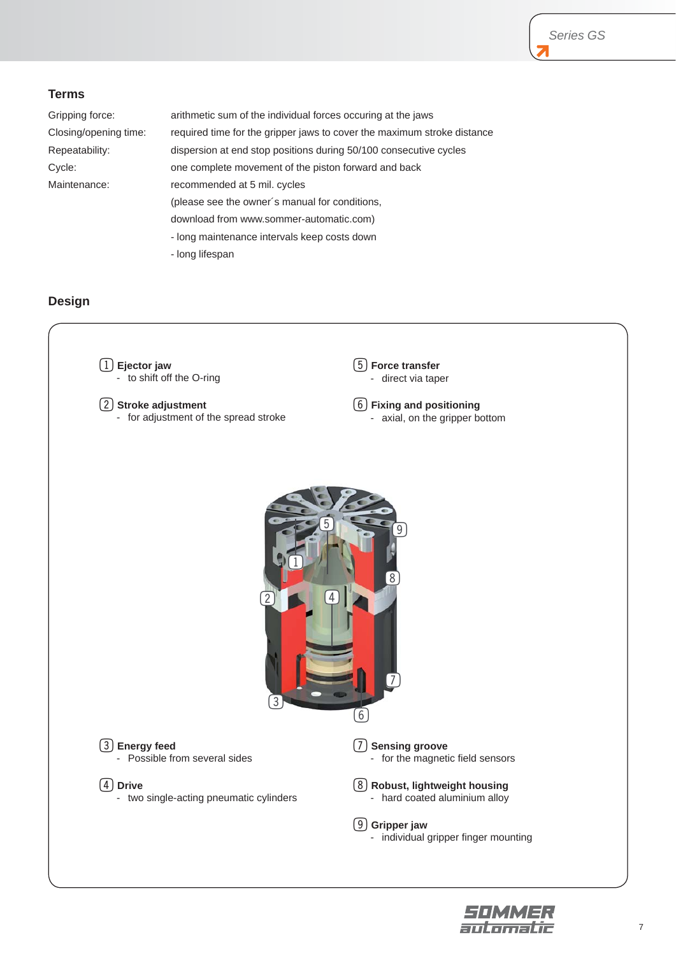## **Terms**

Gripping force: arithmetic sum of the individual forces occuring at the jaws Closing/opening time: required time for the gripper jaws to cover the maximum stroke distance Repeatability: dispersion at end stop positions during 50/100 consecutive cycles Cycle: one complete movement of the piston forward and back Maintenance: recommended at 5 mil. cycles (please see the owner´s manual for conditions, download from www.sommer-automatic.com) - long maintenance intervals keep costs down - long lifespan

## **Design**



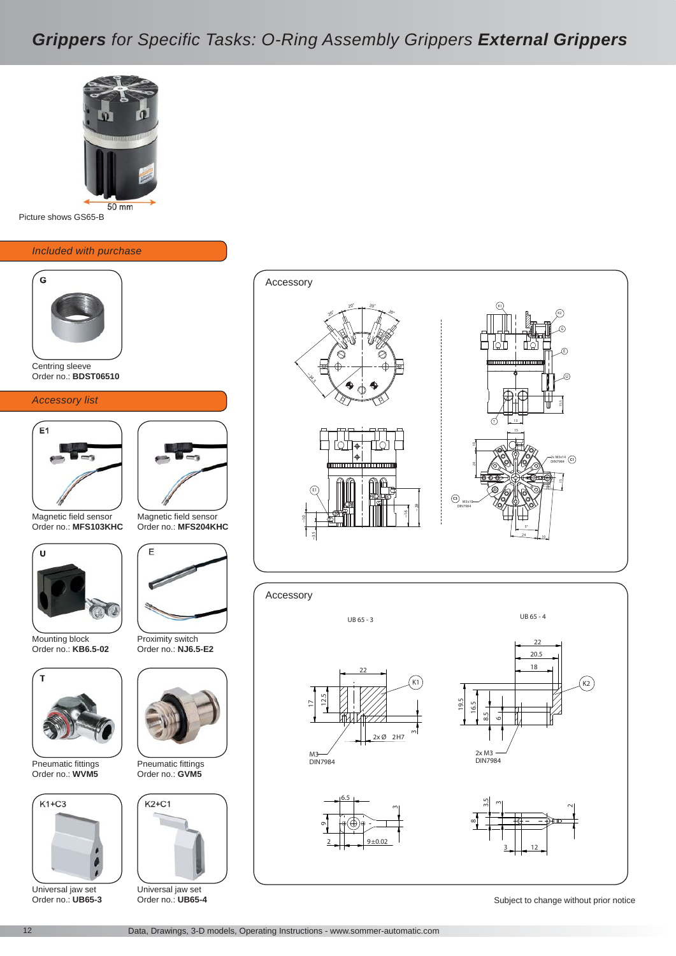## *Grippers for Specific Tasks: O-Ring Assembly Grippers External Grippers*



Picture shows GS65-B

#### *Included with purchase*



Centring sleeve Order no.: **BDST06510** 

#### *Accessory list*



Magnetic field sensor Order no.: **MFS103KHC** 



Mounting block Order no.: **KB6.5-02** 



Pneumatic fittings Order no.: **WVM5** 



Universal jaw set Order no.: **UB65-3** 



Magnetic field sensor Order no.: **MFS204KHC** 



Proximity switch Order no.: **NJ6.5-E2** 



Pneumatic fittings Order no.: **GVM5** 



Universal jaw set Order no.: **UB65-4** 







UB 65 - 3

 $2$  9±0.02

6.5





UB 65 - 4



თ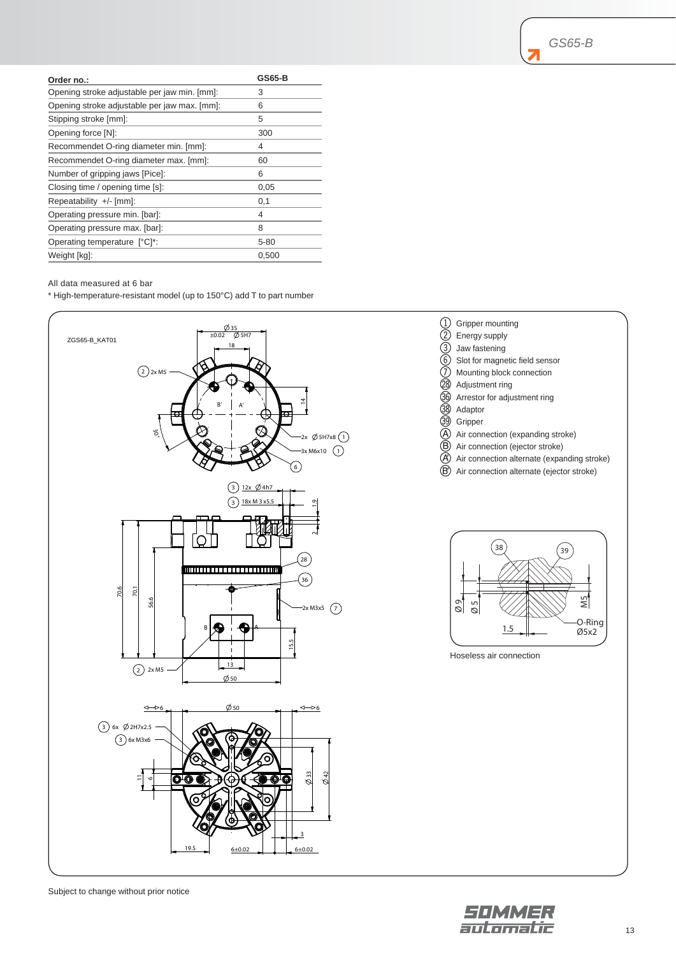| Order no.:                                   | GS65-B   |
|----------------------------------------------|----------|
| Opening stroke adjustable per jaw min. [mm]: | 3        |
| Opening stroke adjustable per jaw max. [mm]: | 6        |
| Stipping stroke [mm]:                        | 5        |
| Opening force [N]:                           | 300      |
| Recommendet O-ring diameter min. [mm]:       | 4        |
| Recommendet O-ring diameter max. [mm]:       | 60       |
| Number of gripping jaws [Pice]:              | 6        |
| Closing time / opening time [s]:             | 0,05     |
| Repeatability $+/-$ [mm]:                    | 0,1      |
| Operating pressure min. [bar]:               | 4        |
| Operating pressure max. [bar]:               | 8        |
| Operating temperature [°C]*:                 | $5 - 80$ |
| Weight [kg]:                                 | 0,500    |

#### All data measured at 6 bar

\* High-temperature-resistant model (up to 150°C) add T to part number



### 1 Gripper mounting 2 Energy supply 3 Jaw fastening

- 6 Slot for magnetic field sensor
- $\overline{O}$  Mounting block connection
- $\overline{\textcircled{2}}$  Adjustment ring
- $\overline{\textcircled{30}}$  Arrestor for adjustment ring
- $\overline{\textcircled{39}}$  Adaptor
- $\overline{\textcircled{39}}$  Gripper
- $\overline{A}$  Air connection (expanding stroke)
- B Air connection (ejector stroke)
- K Air connection alternate (expanding stroke)
- $\widetilde{\textcircled{B}}$  Air connection alternate (ejector stroke)



Hoseless air connection

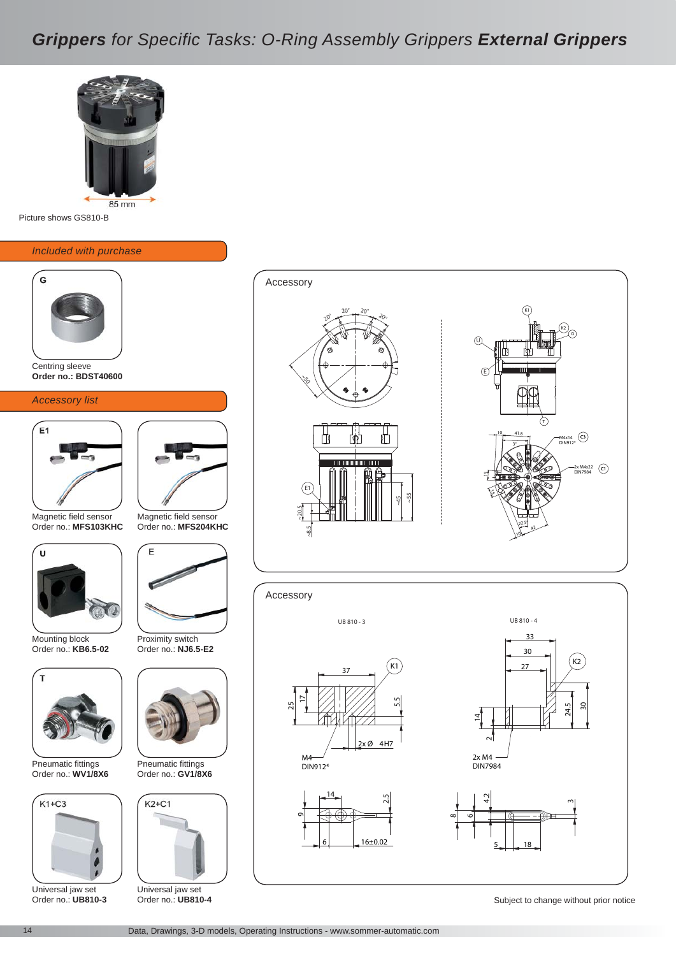# *Grippers for Specific Tasks: O-Ring Assembly Grippers External Grippers*



Picture shows GS810-B

#### *Included with purchase*



Centring sleeve **Order no.: BDST40600** 

#### *Accessory list*



Magnetic field sensor Order no.: **MFS103KHC** 



Mounting block Order no.: **KB6.5-02** 



Pneumatic fittings Order no.: **WV1/8X6** 



Universal jaw set Order no.: **UB810-3** 



Magnetic field sensor Order no.: **MFS204KHC** 



Proximity switch Order no.: **NJ6.5-E2** 



Pneumatic fittings Order no.: **GV1/8X6** 



Universal jaw set Order no.: **UB810-4** 



 $\infty$ 







Subject to change without prior notice

Accessory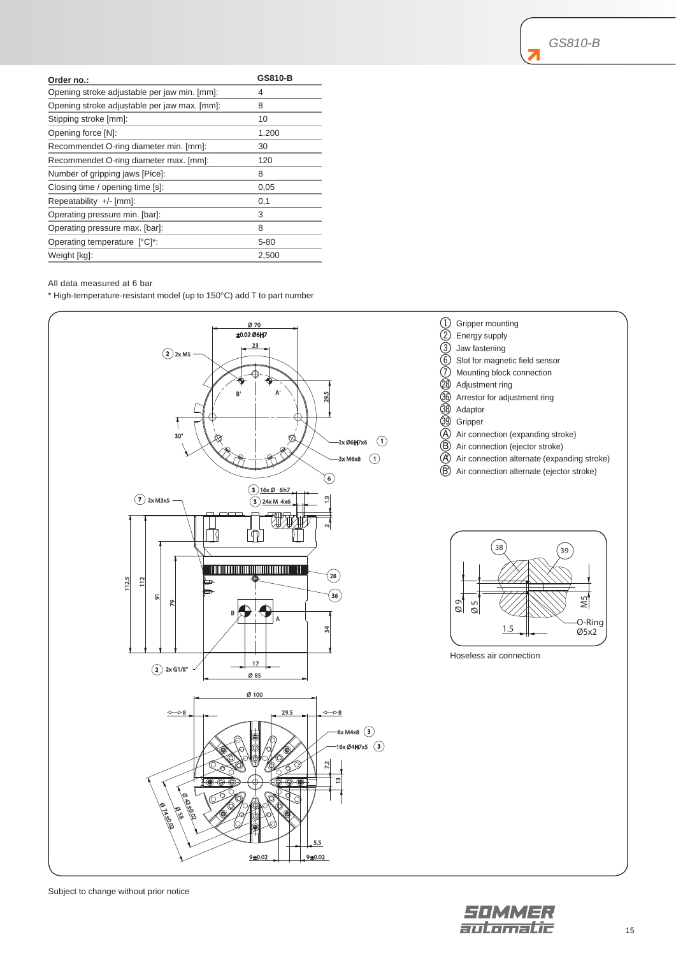| Order no.:                                   | <b>GS810-B</b> |
|----------------------------------------------|----------------|
| Opening stroke adjustable per jaw min. [mm]: | 4              |
| Opening stroke adjustable per jaw max. [mm]: | 8              |
| Stipping stroke [mm]:                        | 10             |
| Opening force [N]:                           | 1.200          |
| Recommendet O-ring diameter min. [mm]:       | 30             |
| Recommendet O-ring diameter max. [mm]:       | 120            |
| Number of gripping jaws [Pice]:              | 8              |
| Closing time / opening time [s]:             | 0,05           |
| Repeatability +/- [mm]:                      | 0,1            |
| Operating pressure min. [bar]:               | 3              |
| Operating pressure max. [bar]:               | 8              |
| Operating temperature [°C]*:                 | $5 - 80$       |
| Weight [kg]:                                 | 2,500          |

#### All data measured at 6 bar

\* High-temperature-resistant model (up to 150°C) add T to part number



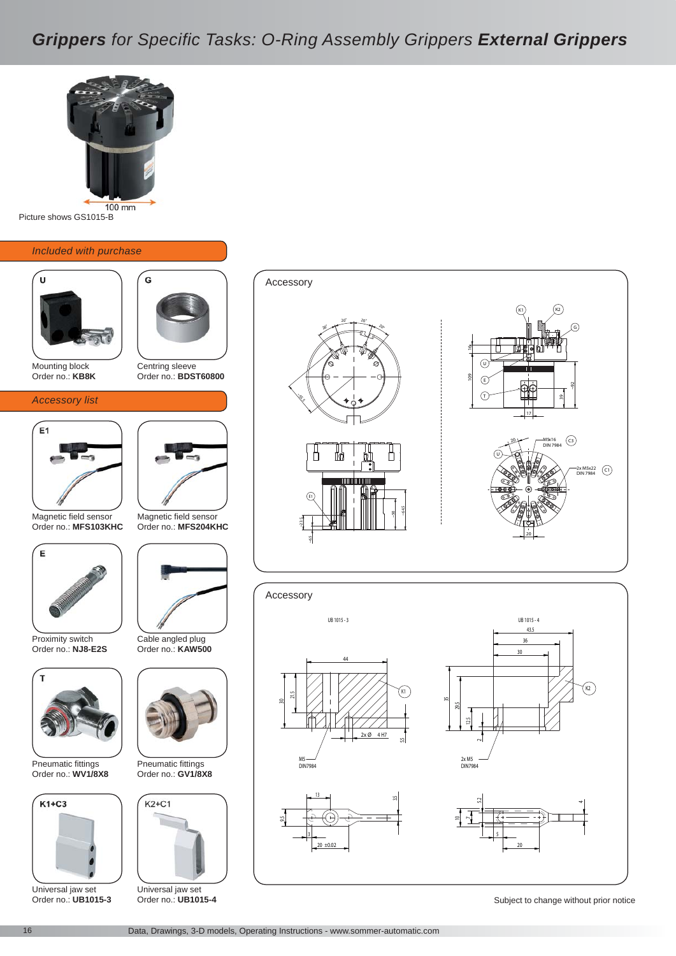

Picture shows GS1015-B

#### *Included with purchase*





### Centring sleeve Order no.: **BDST60800**

G

#### *Accessory list*



Magnetic field sensor Order no.: **MFS103KHC** 



Proximity switch Order no.: **NJ8-E2S** 



Pneumatic fittings Order no.: **WV1/8X8** 



Universal jaw set Order no.: **UB1015-3** 



Magnetic field sensor Order no.: **MFS204KHC** 



Cable angled plug Order no.: **KAW500** 



Pneumatic fittings Order no.: **GV1/8X8** 



Universal jaw set

#### 109 20  $2<sup>c</sup>$ 16 ~92 17 39 C1 2x M5x22 DIN 7984 C3 M5x16 DIN 7984 G  $\sqrt{a}$  $\odot$ K1) (K2  $($  $)$ U E1  $20°$   $20°$   $20°$ ~55<br>~55 ~6.5 ~23.5 ~50 ~64.5 Accessory



Order no.: **UB1015-4** 

Subject to change without prior notice